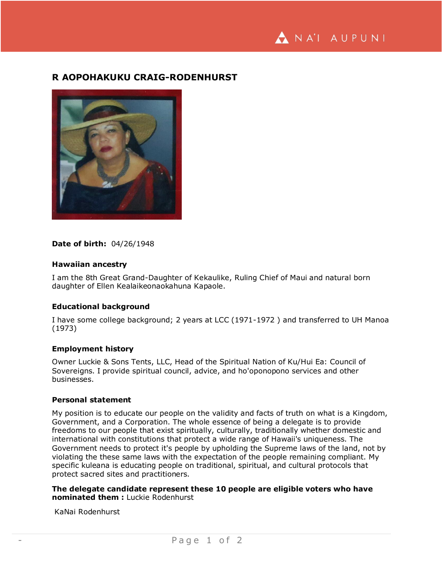# **R AOPOHAKUKU CRAIG-RODENHURST**



### **Date of birth:** 04/26/1948

#### **Hawaiian ancestry**

I am the 8th Great Grand-Daughter of Kekaulike, Ruling Chief of Maui and natural born daughter of Ellen Kealaikeonaokahuna Kapaole.

#### **Educational background**

I have some college background; 2 years at LCC (1971-1972 ) and transferred to UH Manoa (1973)

## **Employment history**

Owner Luckie & Sons Tents, LLC, Head of the Spiritual Nation of Ku/Hui Ea: Council of Sovereigns. I provide spiritual council, advice, and ho'oponopono services and other businesses.

#### **Personal statement**

My position is to educate our people on the validity and facts of truth on what is a Kingdom, Government, and a Corporation. The whole essence of being a delegate is to provide freedoms to our people that exist spiritually, culturally, traditionally whether domestic and international with constitutions that protect a wide range of Hawaii's uniqueness. The Government needs to protect it's people by upholding the Supreme laws of the land, not by violating the these same laws with the expectation of the people remaining compliant. My specific kuleana is educating people on traditional, spiritual, and cultural protocols that protect sacred sites and practitioners.

**The delegate candidate represent these 10 people are eligible voters who have nominated them :** Luckie Rodenhurst

KaNai Rodenhurst